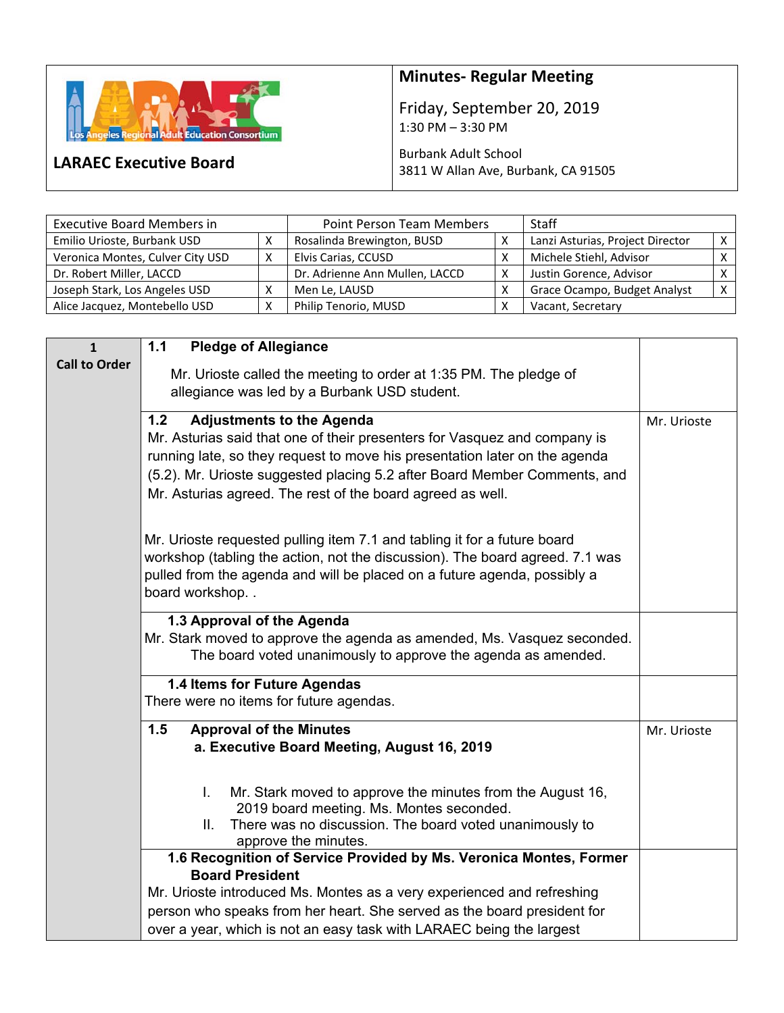

**LARAEC Executive Board** 

## **Minutes‐ Regular Meeting**

Friday, September 20, 2019 1:30 PM – 3:30 PM

## Burbank Adult School 3811 W Allan Ave, Burbank, CA 91505

| <b>Executive Board Members in</b> | <b>Point Person Team Members</b> |                                | Staff |                                  |              |
|-----------------------------------|----------------------------------|--------------------------------|-------|----------------------------------|--------------|
| Emilio Urioste, Burbank USD       |                                  | Rosalinda Brewington, BUSD     |       | Lanzi Asturias, Project Director |              |
| Veronica Montes, Culver City USD  |                                  | Elvis Carias, CCUSD            |       | Michele Stiehl, Advisor          |              |
| Dr. Robert Miller, LACCD          |                                  | Dr. Adrienne Ann Mullen, LACCD | X     | Justin Gorence, Advisor          |              |
| Joseph Stark, Los Angeles USD     |                                  | Men Le, LAUSD                  |       | Grace Ocampo, Budget Analyst     | $\checkmark$ |
| Alice Jacquez, Montebello USD     |                                  | Philip Tenorio, MUSD           |       | Vacant, Secretary                |              |

| $\mathbf{1}$         | <b>Pledge of Allegiance</b><br>1.1                                                           |             |  |  |
|----------------------|----------------------------------------------------------------------------------------------|-------------|--|--|
| <b>Call to Order</b> | Mr. Urioste called the meeting to order at 1:35 PM. The pledge of                            |             |  |  |
|                      | allegiance was led by a Burbank USD student.                                                 |             |  |  |
|                      |                                                                                              |             |  |  |
|                      | <b>Adjustments to the Agenda</b><br>1.2                                                      | Mr. Urioste |  |  |
|                      | Mr. Asturias said that one of their presenters for Vasquez and company is                    |             |  |  |
|                      | running late, so they request to move his presentation later on the agenda                   |             |  |  |
|                      | (5.2). Mr. Urioste suggested placing 5.2 after Board Member Comments, and                    |             |  |  |
|                      | Mr. Asturias agreed. The rest of the board agreed as well.                                   |             |  |  |
|                      |                                                                                              |             |  |  |
|                      | Mr. Urioste requested pulling item 7.1 and tabling it for a future board                     |             |  |  |
|                      | workshop (tabling the action, not the discussion). The board agreed. 7.1 was                 |             |  |  |
|                      | pulled from the agenda and will be placed on a future agenda, possibly a                     |             |  |  |
|                      | board workshop                                                                               |             |  |  |
|                      | 1.3 Approval of the Agenda                                                                   |             |  |  |
|                      | Mr. Stark moved to approve the agenda as amended, Ms. Vasquez seconded.                      |             |  |  |
|                      | The board voted unanimously to approve the agenda as amended.                                |             |  |  |
|                      | 1.4 Items for Future Agendas                                                                 |             |  |  |
|                      | There were no items for future agendas.                                                      |             |  |  |
|                      |                                                                                              |             |  |  |
|                      | 1.5<br><b>Approval of the Minutes</b>                                                        | Mr. Urioste |  |  |
|                      | a. Executive Board Meeting, August 16, 2019                                                  |             |  |  |
|                      |                                                                                              |             |  |  |
|                      | Mr. Stark moved to approve the minutes from the August 16,<br>L.                             |             |  |  |
|                      | 2019 board meeting. Ms. Montes seconded.                                                     |             |  |  |
|                      | There was no discussion. The board voted unanimously to<br>Ш.                                |             |  |  |
|                      | approve the minutes.                                                                         |             |  |  |
|                      | 1.6 Recognition of Service Provided by Ms. Veronica Montes, Former<br><b>Board President</b> |             |  |  |
|                      | Mr. Urioste introduced Ms. Montes as a very experienced and refreshing                       |             |  |  |
|                      | person who speaks from her heart. She served as the board president for                      |             |  |  |
|                      | over a year, which is not an easy task with LARAEC being the largest                         |             |  |  |
|                      |                                                                                              |             |  |  |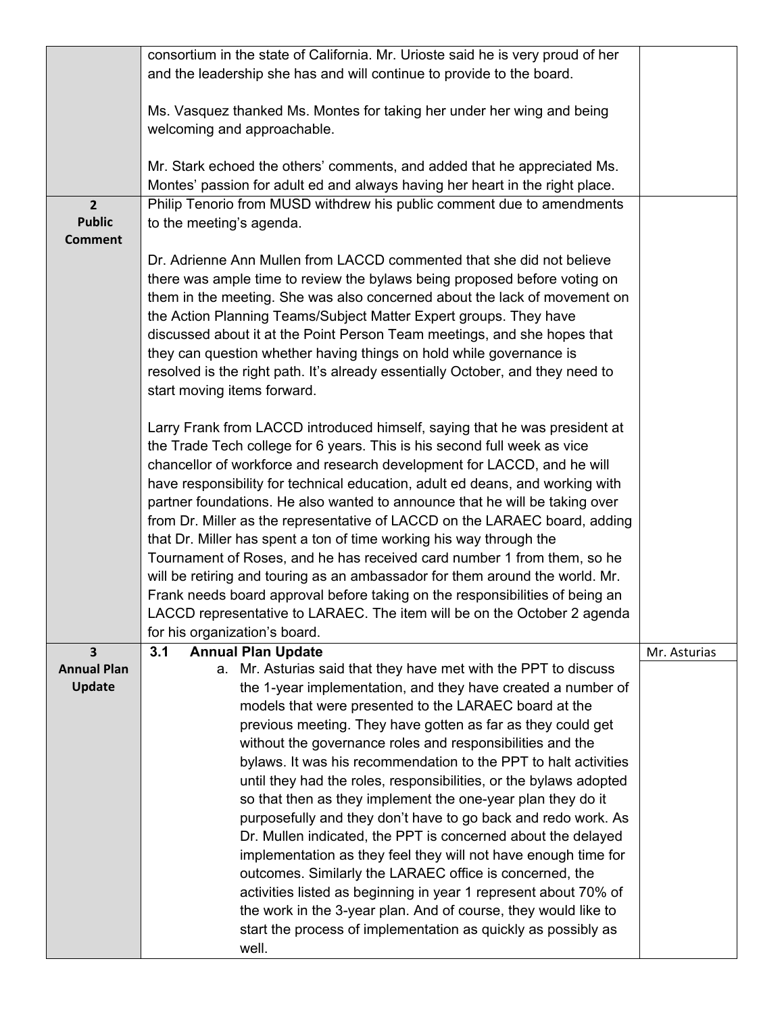|                    | consortium in the state of California. Mr. Urioste said he is very proud of her |              |  |  |  |
|--------------------|---------------------------------------------------------------------------------|--------------|--|--|--|
|                    | and the leadership she has and will continue to provide to the board.           |              |  |  |  |
|                    |                                                                                 |              |  |  |  |
|                    | Ms. Vasquez thanked Ms. Montes for taking her under her wing and being          |              |  |  |  |
|                    | welcoming and approachable.                                                     |              |  |  |  |
|                    |                                                                                 |              |  |  |  |
|                    | Mr. Stark echoed the others' comments, and added that he appreciated Ms.        |              |  |  |  |
|                    | Montes' passion for adult ed and always having her heart in the right place.    |              |  |  |  |
| $\overline{2}$     | Philip Tenorio from MUSD withdrew his public comment due to amendments          |              |  |  |  |
| <b>Public</b>      | to the meeting's agenda.                                                        |              |  |  |  |
| <b>Comment</b>     |                                                                                 |              |  |  |  |
|                    | Dr. Adrienne Ann Mullen from LACCD commented that she did not believe           |              |  |  |  |
|                    | there was ample time to review the bylaws being proposed before voting on       |              |  |  |  |
|                    | them in the meeting. She was also concerned about the lack of movement on       |              |  |  |  |
|                    | the Action Planning Teams/Subject Matter Expert groups. They have               |              |  |  |  |
|                    | discussed about it at the Point Person Team meetings, and she hopes that        |              |  |  |  |
|                    | they can question whether having things on hold while governance is             |              |  |  |  |
|                    | resolved is the right path. It's already essentially October, and they need to  |              |  |  |  |
|                    | start moving items forward.                                                     |              |  |  |  |
|                    |                                                                                 |              |  |  |  |
|                    | Larry Frank from LACCD introduced himself, saying that he was president at      |              |  |  |  |
|                    | the Trade Tech college for 6 years. This is his second full week as vice        |              |  |  |  |
|                    | chancellor of workforce and research development for LACCD, and he will         |              |  |  |  |
|                    | have responsibility for technical education, adult ed deans, and working with   |              |  |  |  |
|                    | partner foundations. He also wanted to announce that he will be taking over     |              |  |  |  |
|                    | from Dr. Miller as the representative of LACCD on the LARAEC board, adding      |              |  |  |  |
|                    | that Dr. Miller has spent a ton of time working his way through the             |              |  |  |  |
|                    | Tournament of Roses, and he has received card number 1 from them, so he         |              |  |  |  |
|                    | will be retiring and touring as an ambassador for them around the world. Mr.    |              |  |  |  |
|                    | Frank needs board approval before taking on the responsibilities of being an    |              |  |  |  |
|                    | LACCD representative to LARAEC. The item will be on the October 2 agenda        |              |  |  |  |
|                    | for his organization's board.                                                   |              |  |  |  |
| 3                  | 3.1<br><b>Annual Plan Update</b>                                                | Mr. Asturias |  |  |  |
| <b>Annual Plan</b> | a. Mr. Asturias said that they have met with the PPT to discuss                 |              |  |  |  |
| <b>Update</b>      | the 1-year implementation, and they have created a number of                    |              |  |  |  |
|                    | models that were presented to the LARAEC board at the                           |              |  |  |  |
|                    | previous meeting. They have gotten as far as they could get                     |              |  |  |  |
|                    | without the governance roles and responsibilities and the                       |              |  |  |  |
|                    | bylaws. It was his recommendation to the PPT to halt activities                 |              |  |  |  |
|                    | until they had the roles, responsibilities, or the bylaws adopted               |              |  |  |  |
|                    | so that then as they implement the one-year plan they do it                     |              |  |  |  |
|                    | purposefully and they don't have to go back and redo work. As                   |              |  |  |  |
|                    | Dr. Mullen indicated, the PPT is concerned about the delayed                    |              |  |  |  |
|                    | implementation as they feel they will not have enough time for                  |              |  |  |  |
|                    | outcomes. Similarly the LARAEC office is concerned, the                         |              |  |  |  |
|                    | activities listed as beginning in year 1 represent about 70% of                 |              |  |  |  |
|                    | the work in the 3-year plan. And of course, they would like to                  |              |  |  |  |
|                    | start the process of implementation as quickly as possibly as                   |              |  |  |  |
|                    | well.                                                                           |              |  |  |  |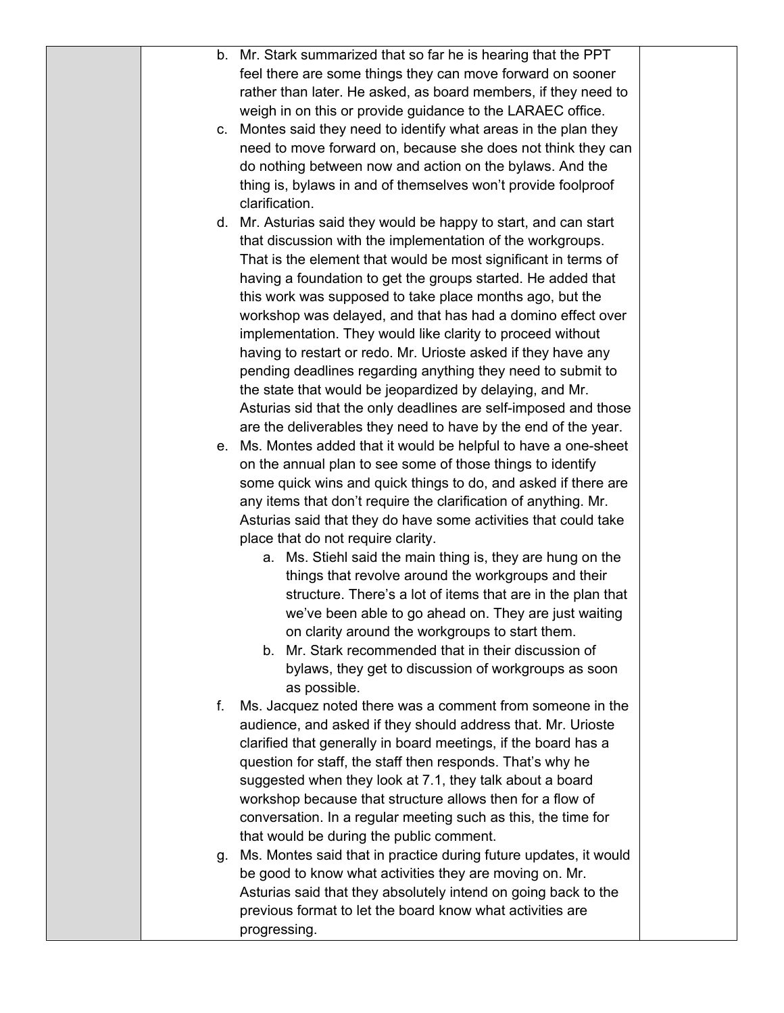|    | b. Mr. Stark summarized that so far he is hearing that the PPT      |  |
|----|---------------------------------------------------------------------|--|
|    | feel there are some things they can move forward on sooner          |  |
|    | rather than later. He asked, as board members, if they need to      |  |
|    | weigh in on this or provide guidance to the LARAEC office.          |  |
| C. | Montes said they need to identify what areas in the plan they       |  |
|    | need to move forward on, because she does not think they can        |  |
|    | do nothing between now and action on the bylaws. And the            |  |
|    | thing is, bylaws in and of themselves won't provide foolproof       |  |
|    | clarification.                                                      |  |
|    | d. Mr. Asturias said they would be happy to start, and can start    |  |
|    | that discussion with the implementation of the workgroups.          |  |
|    | That is the element that would be most significant in terms of      |  |
|    | having a foundation to get the groups started. He added that        |  |
|    | this work was supposed to take place months ago, but the            |  |
|    | workshop was delayed, and that has had a domino effect over         |  |
|    | implementation. They would like clarity to proceed without          |  |
|    | having to restart or redo. Mr. Urioste asked if they have any       |  |
|    | pending deadlines regarding anything they need to submit to         |  |
|    | the state that would be jeopardized by delaying, and Mr.            |  |
|    | Asturias sid that the only deadlines are self-imposed and those     |  |
|    | are the deliverables they need to have by the end of the year.      |  |
|    | e. Ms. Montes added that it would be helpful to have a one-sheet    |  |
|    | on the annual plan to see some of those things to identify          |  |
|    | some quick wins and quick things to do, and asked if there are      |  |
|    | any items that don't require the clarification of anything. Mr.     |  |
|    | Asturias said that they do have some activities that could take     |  |
|    | place that do not require clarity.                                  |  |
|    | a. Ms. Stiehl said the main thing is, they are hung on the          |  |
|    | things that revolve around the workgroups and their                 |  |
|    | structure. There's a lot of items that are in the plan that         |  |
|    | we've been able to go ahead on. They are just waiting               |  |
|    | on clarity around the workgroups to start them.                     |  |
|    | b. Mr. Stark recommended that in their discussion of                |  |
|    | bylaws, they get to discussion of workgroups as soon                |  |
|    | as possible.                                                        |  |
| f. | Ms. Jacquez noted there was a comment from someone in the           |  |
|    | audience, and asked if they should address that. Mr. Urioste        |  |
|    | clarified that generally in board meetings, if the board has a      |  |
|    | question for staff, the staff then responds. That's why he          |  |
|    | suggested when they look at 7.1, they talk about a board            |  |
|    | workshop because that structure allows then for a flow of           |  |
|    | conversation. In a regular meeting such as this, the time for       |  |
|    | that would be during the public comment.                            |  |
|    | g. Ms. Montes said that in practice during future updates, it would |  |
|    | be good to know what activities they are moving on. Mr.             |  |
|    | Asturias said that they absolutely intend on going back to the      |  |
|    | previous format to let the board know what activities are           |  |
|    | progressing.                                                        |  |
|    |                                                                     |  |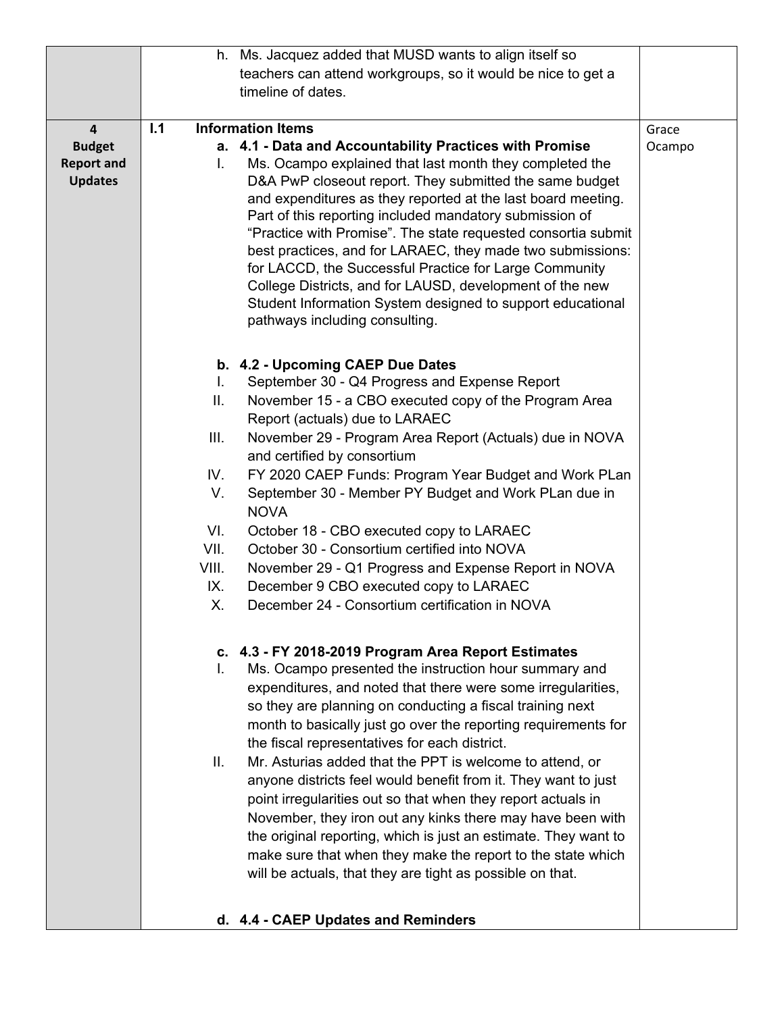|                         |       | h. Ms. Jacquez added that MUSD wants to align itself so                                                              |        |
|-------------------------|-------|----------------------------------------------------------------------------------------------------------------------|--------|
|                         |       | teachers can attend workgroups, so it would be nice to get a                                                         |        |
|                         |       | timeline of dates.                                                                                                   |        |
|                         |       |                                                                                                                      |        |
| $\overline{\mathbf{4}}$ | 1.1   | <b>Information Items</b>                                                                                             | Grace  |
| <b>Budget</b>           |       | a. 4.1 - Data and Accountability Practices with Promise                                                              | Ocampo |
| <b>Report and</b>       | L.    | Ms. Ocampo explained that last month they completed the                                                              |        |
| <b>Updates</b>          |       | D&A PwP closeout report. They submitted the same budget                                                              |        |
|                         |       | and expenditures as they reported at the last board meeting.                                                         |        |
|                         |       | Part of this reporting included mandatory submission of                                                              |        |
|                         |       | "Practice with Promise". The state requested consortia submit                                                        |        |
|                         |       | best practices, and for LARAEC, they made two submissions:<br>for LACCD, the Successful Practice for Large Community |        |
|                         |       | College Districts, and for LAUSD, development of the new                                                             |        |
|                         |       | Student Information System designed to support educational                                                           |        |
|                         |       | pathways including consulting.                                                                                       |        |
|                         |       |                                                                                                                      |        |
|                         |       |                                                                                                                      |        |
|                         | L.    | b. 4.2 - Upcoming CAEP Due Dates<br>September 30 - Q4 Progress and Expense Report                                    |        |
|                         | II.   | November 15 - a CBO executed copy of the Program Area                                                                |        |
|                         |       | Report (actuals) due to LARAEC                                                                                       |        |
|                         | III.  | November 29 - Program Area Report (Actuals) due in NOVA                                                              |        |
|                         |       | and certified by consortium                                                                                          |        |
|                         | IV.   | FY 2020 CAEP Funds: Program Year Budget and Work PLan                                                                |        |
|                         | V.    | September 30 - Member PY Budget and Work PLan due in                                                                 |        |
|                         |       | <b>NOVA</b>                                                                                                          |        |
|                         | VI.   | October 18 - CBO executed copy to LARAEC                                                                             |        |
|                         | VII.  | October 30 - Consortium certified into NOVA                                                                          |        |
|                         | VIII. | November 29 - Q1 Progress and Expense Report in NOVA                                                                 |        |
|                         | IX.   | December 9 CBO executed copy to LARAEC                                                                               |        |
|                         | Х.    | December 24 - Consortium certification in NOVA                                                                       |        |
|                         |       | c. 4.3 - FY 2018-2019 Program Area Report Estimates                                                                  |        |
|                         | L.    | Ms. Ocampo presented the instruction hour summary and                                                                |        |
|                         |       | expenditures, and noted that there were some irregularities,                                                         |        |
|                         |       | so they are planning on conducting a fiscal training next                                                            |        |
|                         |       | month to basically just go over the reporting requirements for                                                       |        |
|                         |       | the fiscal representatives for each district.                                                                        |        |
|                         | Ш.    | Mr. Asturias added that the PPT is welcome to attend, or                                                             |        |
|                         |       | anyone districts feel would benefit from it. They want to just                                                       |        |
|                         |       | point irregularities out so that when they report actuals in                                                         |        |
|                         |       | November, they iron out any kinks there may have been with                                                           |        |
|                         |       | the original reporting, which is just an estimate. They want to                                                      |        |
|                         |       | make sure that when they make the report to the state which                                                          |        |
|                         |       | will be actuals, that they are tight as possible on that.                                                            |        |
|                         |       | d. 4.4 - CAEP Updates and Reminders                                                                                  |        |
|                         |       |                                                                                                                      |        |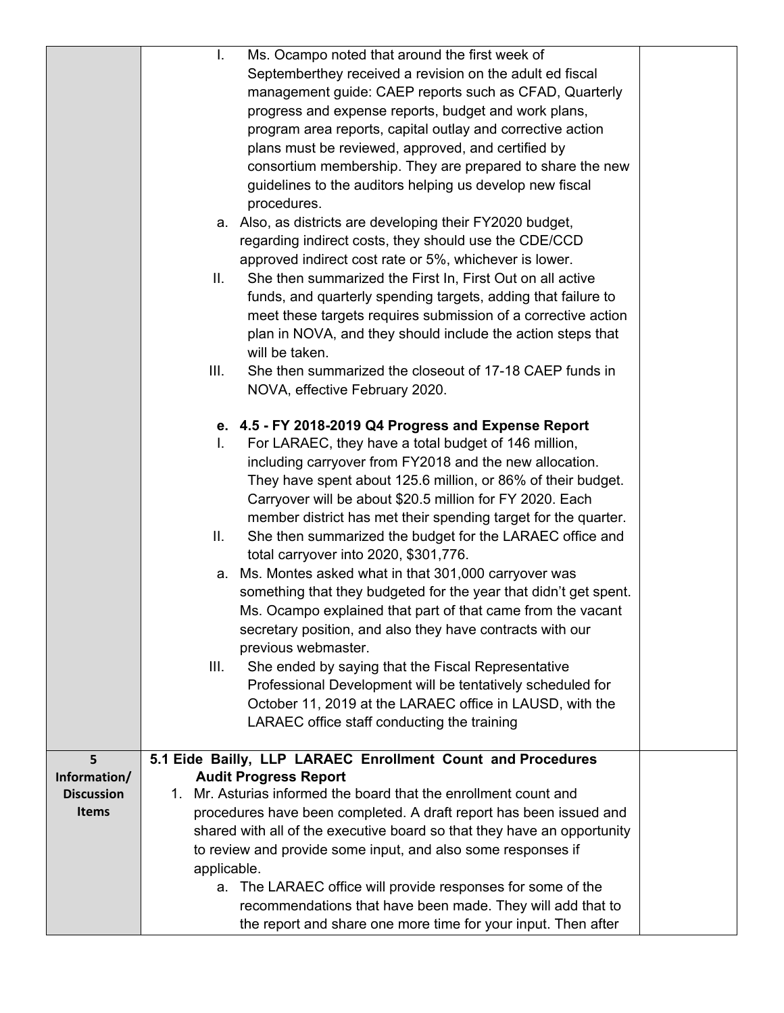|                   | Ms. Ocampo noted that around the first week of<br>I.                    |  |
|-------------------|-------------------------------------------------------------------------|--|
|                   | Septemberthey received a revision on the adult ed fiscal                |  |
|                   | management guide: CAEP reports such as CFAD, Quarterly                  |  |
|                   | progress and expense reports, budget and work plans,                    |  |
|                   | program area reports, capital outlay and corrective action              |  |
|                   | plans must be reviewed, approved, and certified by                      |  |
|                   | consortium membership. They are prepared to share the new               |  |
|                   | guidelines to the auditors helping us develop new fiscal                |  |
|                   | procedures.                                                             |  |
|                   | a. Also, as districts are developing their FY2020 budget,               |  |
|                   | regarding indirect costs, they should use the CDE/CCD                   |  |
|                   | approved indirect cost rate or 5%, whichever is lower.                  |  |
|                   | She then summarized the First In, First Out on all active<br>Ш.         |  |
|                   | funds, and quarterly spending targets, adding that failure to           |  |
|                   | meet these targets requires submission of a corrective action           |  |
|                   | plan in NOVA, and they should include the action steps that             |  |
|                   | will be taken.                                                          |  |
|                   | III.<br>She then summarized the closeout of 17-18 CAEP funds in         |  |
|                   | NOVA, effective February 2020.                                          |  |
|                   |                                                                         |  |
|                   | e. 4.5 - FY 2018-2019 Q4 Progress and Expense Report                    |  |
|                   | For LARAEC, they have a total budget of 146 million,<br>L.              |  |
|                   | including carryover from FY2018 and the new allocation.                 |  |
|                   | They have spent about 125.6 million, or 86% of their budget.            |  |
|                   | Carryover will be about \$20.5 million for FY 2020. Each                |  |
|                   | member district has met their spending target for the quarter.          |  |
|                   | Ш.<br>She then summarized the budget for the LARAEC office and          |  |
|                   | total carryover into 2020, \$301,776.                                   |  |
|                   | a. Ms. Montes asked what in that 301,000 carryover was                  |  |
|                   | something that they budgeted for the year that didn't get spent.        |  |
|                   | Ms. Ocampo explained that part of that came from the vacant             |  |
|                   | secretary position, and also they have contracts with our               |  |
|                   | previous webmaster.                                                     |  |
|                   | III.<br>She ended by saying that the Fiscal Representative              |  |
|                   | Professional Development will be tentatively scheduled for              |  |
|                   | October 11, 2019 at the LARAEC office in LAUSD, with the                |  |
|                   | LARAEC office staff conducting the training                             |  |
|                   |                                                                         |  |
| 5                 | 5.1 Eide Bailly, LLP LARAEC Enrollment Count and Procedures             |  |
| Information/      | <b>Audit Progress Report</b>                                            |  |
| <b>Discussion</b> | 1. Mr. Asturias informed the board that the enrollment count and        |  |
| <b>Items</b>      | procedures have been completed. A draft report has been issued and      |  |
|                   | shared with all of the executive board so that they have an opportunity |  |
|                   | to review and provide some input, and also some responses if            |  |
|                   | applicable.                                                             |  |
|                   | a. The LARAEC office will provide responses for some of the             |  |
|                   | recommendations that have been made. They will add that to              |  |
|                   | the report and share one more time for your input. Then after           |  |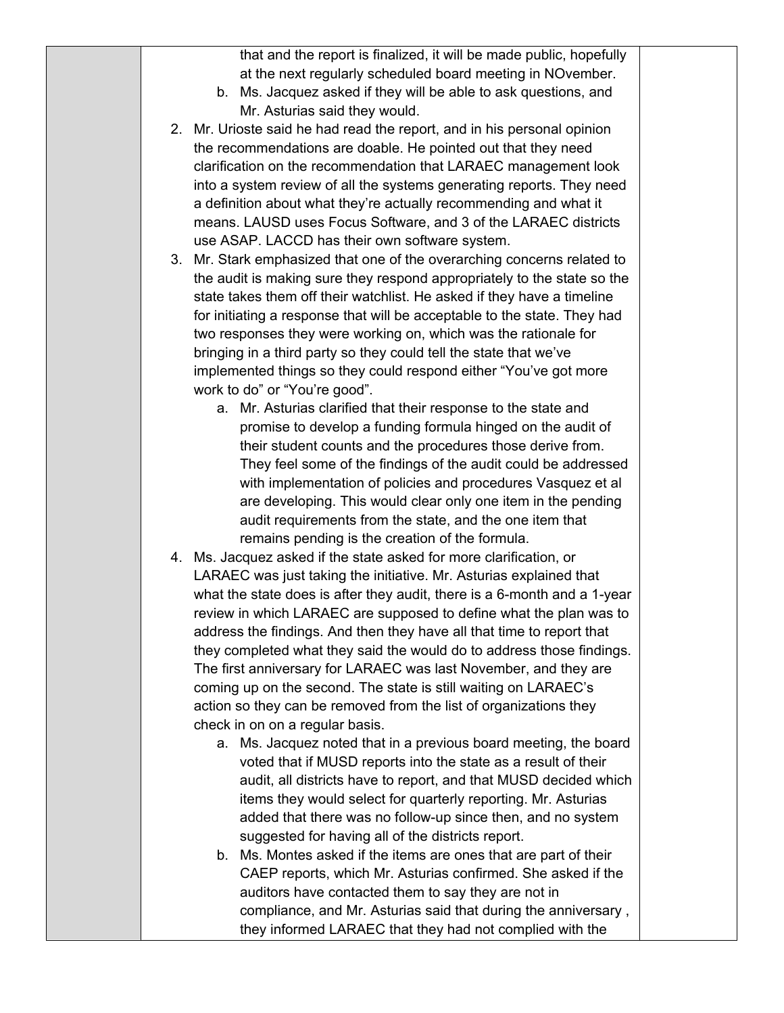that and the report is finalized, it will be made public, hopefully at the next regularly scheduled board meeting in NOvember.

- b. Ms. Jacquez asked if they will be able to ask questions, and Mr. Asturias said they would.
- 2. Mr. Urioste said he had read the report, and in his personal opinion the recommendations are doable. He pointed out that they need clarification on the recommendation that LARAEC management look into a system review of all the systems generating reports. They need a definition about what they're actually recommending and what it means. LAUSD uses Focus Software, and 3 of the LARAEC districts use ASAP. LACCD has their own software system.
- 3. Mr. Stark emphasized that one of the overarching concerns related to the audit is making sure they respond appropriately to the state so the state takes them off their watchlist. He asked if they have a timeline for initiating a response that will be acceptable to the state. They had two responses they were working on, which was the rationale for bringing in a third party so they could tell the state that we've implemented things so they could respond either "You've got more work to do" or "You're good".
	- a. Mr. Asturias clarified that their response to the state and promise to develop a funding formula hinged on the audit of their student counts and the procedures those derive from. They feel some of the findings of the audit could be addressed with implementation of policies and procedures Vasquez et al are developing. This would clear only one item in the pending audit requirements from the state, and the one item that remains pending is the creation of the formula.
- 4. Ms. Jacquez asked if the state asked for more clarification, or LARAEC was just taking the initiative. Mr. Asturias explained that what the state does is after they audit, there is a 6-month and a 1-year review in which LARAEC are supposed to define what the plan was to address the findings. And then they have all that time to report that they completed what they said the would do to address those findings. The first anniversary for LARAEC was last November, and they are coming up on the second. The state is still waiting on LARAEC's action so they can be removed from the list of organizations they check in on on a regular basis.
	- a. Ms. Jacquez noted that in a previous board meeting, the board voted that if MUSD reports into the state as a result of their audit, all districts have to report, and that MUSD decided which items they would select for quarterly reporting. Mr. Asturias added that there was no follow-up since then, and no system suggested for having all of the districts report.
	- b. Ms. Montes asked if the items are ones that are part of their CAEP reports, which Mr. Asturias confirmed. She asked if the auditors have contacted them to say they are not in compliance, and Mr. Asturias said that during the anniversary , they informed LARAEC that they had not complied with the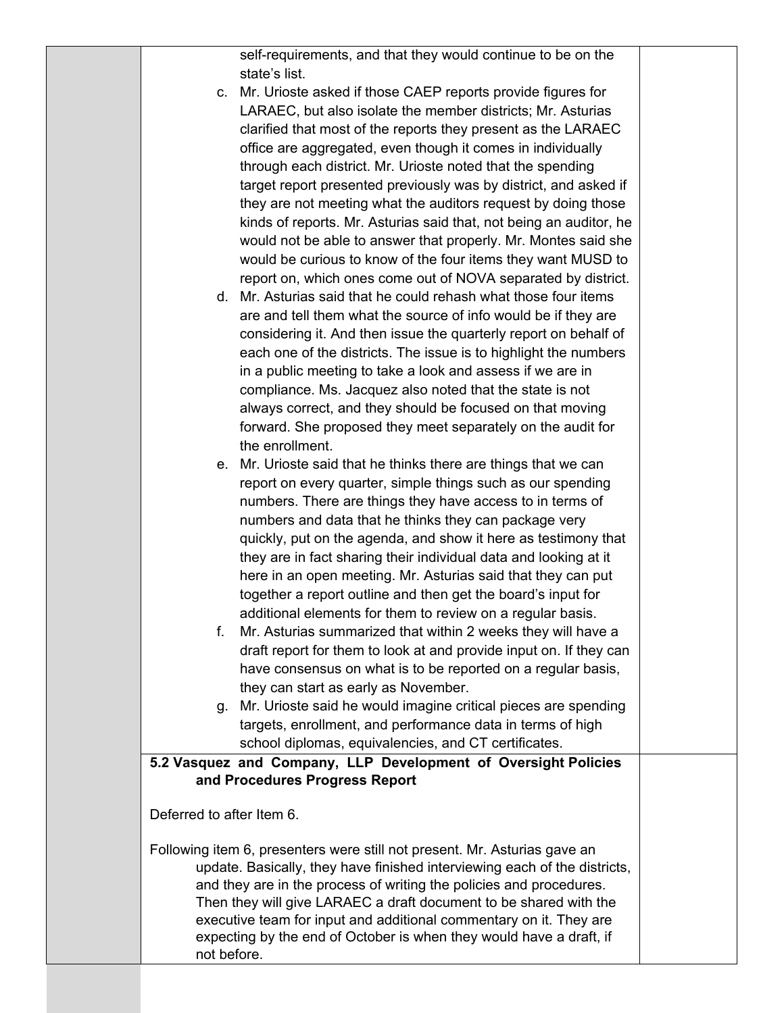self-requirements, and that they would continue to be on the state's list.

- c. Mr. Urioste asked if those CAEP reports provide figures for LARAEC, but also isolate the member districts; Mr. Asturias clarified that most of the reports they present as the LARAEC office are aggregated, even though it comes in individually through each district. Mr. Urioste noted that the spending target report presented previously was by district, and asked if they are not meeting what the auditors request by doing those kinds of reports. Mr. Asturias said that, not being an auditor, he would not be able to answer that properly. Mr. Montes said she would be curious to know of the four items they want MUSD to report on, which ones come out of NOVA separated by district.
- d. Mr. Asturias said that he could rehash what those four items are and tell them what the source of info would be if they are considering it. And then issue the quarterly report on behalf of each one of the districts. The issue is to highlight the numbers in a public meeting to take a look and assess if we are in compliance. Ms. Jacquez also noted that the state is not always correct, and they should be focused on that moving forward. She proposed they meet separately on the audit for the enrollment.
- e. Mr. Urioste said that he thinks there are things that we can report on every quarter, simple things such as our spending numbers. There are things they have access to in terms of numbers and data that he thinks they can package very quickly, put on the agenda, and show it here as testimony that they are in fact sharing their individual data and looking at it here in an open meeting. Mr. Asturias said that they can put together a report outline and then get the board's input for additional elements for them to review on a regular basis.
- f. Mr. Asturias summarized that within 2 weeks they will have a draft report for them to look at and provide input on. If they can have consensus on what is to be reported on a regular basis, they can start as early as November.
- g. Mr. Urioste said he would imagine critical pieces are spending targets, enrollment, and performance data in terms of high school diplomas, equivalencies, and CT certificates.

## **5.2 Vasquez and Company, LLP Development of Oversight Policies and Procedures Progress Report**

Deferred to after Item 6.

Following item 6, presenters were still not present. Mr. Asturias gave an update. Basically, they have finished interviewing each of the districts, and they are in the process of writing the policies and procedures. Then they will give LARAEC a draft document to be shared with the executive team for input and additional commentary on it. They are expecting by the end of October is when they would have a draft, if not before.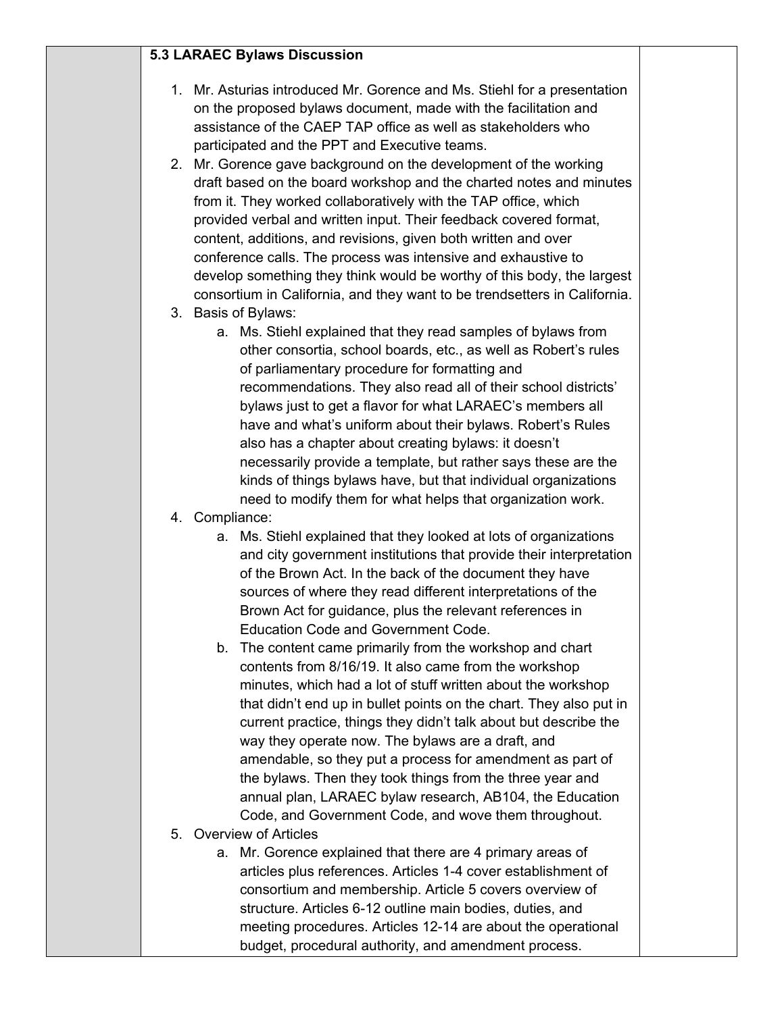## **5.3 LARAEC Bylaws Discussion**

- 1. Mr. Asturias introduced Mr. Gorence and Ms. Stiehl for a presentation on the proposed bylaws document, made with the facilitation and assistance of the CAEP TAP office as well as stakeholders who participated and the PPT and Executive teams.
- 2. Mr. Gorence gave background on the development of the working draft based on the board workshop and the charted notes and minutes from it. They worked collaboratively with the TAP office, which provided verbal and written input. Their feedback covered format, content, additions, and revisions, given both written and over conference calls. The process was intensive and exhaustive to develop something they think would be worthy of this body, the largest consortium in California, and they want to be trendsetters in California.
- 3. Basis of Bylaws:
	- a. Ms. Stiehl explained that they read samples of bylaws from other consortia, school boards, etc., as well as Robert's rules of parliamentary procedure for formatting and recommendations. They also read all of their school districts' bylaws just to get a flavor for what LARAEC's members all have and what's uniform about their bylaws. Robert's Rules also has a chapter about creating bylaws: it doesn't necessarily provide a template, but rather says these are the kinds of things bylaws have, but that individual organizations need to modify them for what helps that organization work.
- 4. Compliance:
	- a. Ms. Stiehl explained that they looked at lots of organizations and city government institutions that provide their interpretation of the Brown Act. In the back of the document they have sources of where they read different interpretations of the Brown Act for guidance, plus the relevant references in Education Code and Government Code.
	- b. The content came primarily from the workshop and chart contents from 8/16/19. It also came from the workshop minutes, which had a lot of stuff written about the workshop that didn't end up in bullet points on the chart. They also put in current practice, things they didn't talk about but describe the way they operate now. The bylaws are a draft, and amendable, so they put a process for amendment as part of the bylaws. Then they took things from the three year and annual plan, LARAEC bylaw research, AB104, the Education Code, and Government Code, and wove them throughout.
- 5. Overview of Articles
	- a. Mr. Gorence explained that there are 4 primary areas of articles plus references. Articles 1-4 cover establishment of consortium and membership. Article 5 covers overview of structure. Articles 6-12 outline main bodies, duties, and meeting procedures. Articles 12-14 are about the operational budget, procedural authority, and amendment process.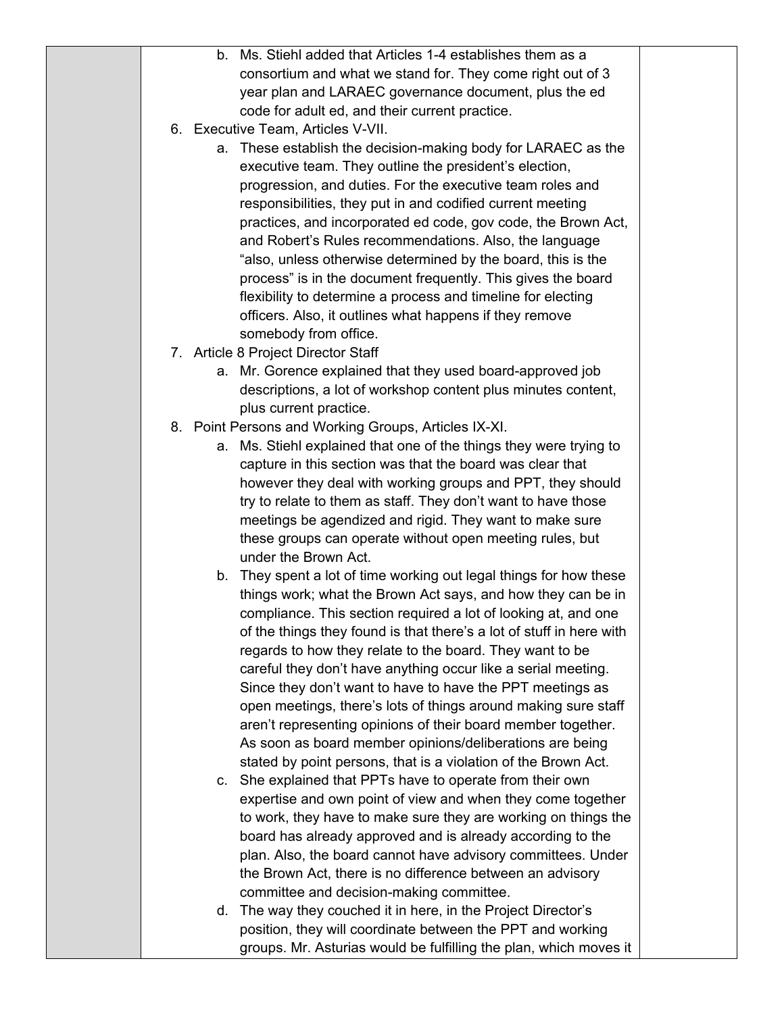|  | b. Ms. Stiehl added that Articles 1-4 establishes them as a                                                                 |  |
|--|-----------------------------------------------------------------------------------------------------------------------------|--|
|  | consortium and what we stand for. They come right out of 3                                                                  |  |
|  | year plan and LARAEC governance document, plus the ed                                                                       |  |
|  | code for adult ed, and their current practice.                                                                              |  |
|  | 6. Executive Team, Articles V-VII.                                                                                          |  |
|  | a. These establish the decision-making body for LARAEC as the                                                               |  |
|  | executive team. They outline the president's election,                                                                      |  |
|  | progression, and duties. For the executive team roles and                                                                   |  |
|  | responsibilities, they put in and codified current meeting                                                                  |  |
|  | practices, and incorporated ed code, gov code, the Brown Act,                                                               |  |
|  | and Robert's Rules recommendations. Also, the language                                                                      |  |
|  | "also, unless otherwise determined by the board, this is the                                                                |  |
|  | process" is in the document frequently. This gives the board                                                                |  |
|  | flexibility to determine a process and timeline for electing                                                                |  |
|  | officers. Also, it outlines what happens if they remove                                                                     |  |
|  | somebody from office.                                                                                                       |  |
|  | 7. Article 8 Project Director Staff                                                                                         |  |
|  | a. Mr. Gorence explained that they used board-approved job                                                                  |  |
|  | descriptions, a lot of workshop content plus minutes content,                                                               |  |
|  | plus current practice.                                                                                                      |  |
|  | 8. Point Persons and Working Groups, Articles IX-XI.                                                                        |  |
|  | a. Ms. Stiehl explained that one of the things they were trying to                                                          |  |
|  | capture in this section was that the board was clear that                                                                   |  |
|  | however they deal with working groups and PPT, they should                                                                  |  |
|  | try to relate to them as staff. They don't want to have those                                                               |  |
|  | meetings be agendized and rigid. They want to make sure<br>these groups can operate without open meeting rules, but         |  |
|  | under the Brown Act.                                                                                                        |  |
|  | b. They spent a lot of time working out legal things for how these                                                          |  |
|  | things work; what the Brown Act says, and how they can be in                                                                |  |
|  | compliance. This section required a lot of looking at, and one                                                              |  |
|  | of the things they found is that there's a lot of stuff in here with                                                        |  |
|  | regards to how they relate to the board. They want to be                                                                    |  |
|  | careful they don't have anything occur like a serial meeting.                                                               |  |
|  | Since they don't want to have to have the PPT meetings as                                                                   |  |
|  | open meetings, there's lots of things around making sure staff                                                              |  |
|  | aren't representing opinions of their board member together.                                                                |  |
|  | As soon as board member opinions/deliberations are being                                                                    |  |
|  | stated by point persons, that is a violation of the Brown Act.                                                              |  |
|  | c. She explained that PPTs have to operate from their own                                                                   |  |
|  | expertise and own point of view and when they come together                                                                 |  |
|  | to work, they have to make sure they are working on things the                                                              |  |
|  | board has already approved and is already according to the                                                                  |  |
|  | plan. Also, the board cannot have advisory committees. Under                                                                |  |
|  | the Brown Act, there is no difference between an advisory                                                                   |  |
|  | committee and decision-making committee.                                                                                    |  |
|  | d. The way they couched it in here, in the Project Director's<br>position, they will coordinate between the PPT and working |  |
|  | groups. Mr. Asturias would be fulfilling the plan, which moves it                                                           |  |
|  |                                                                                                                             |  |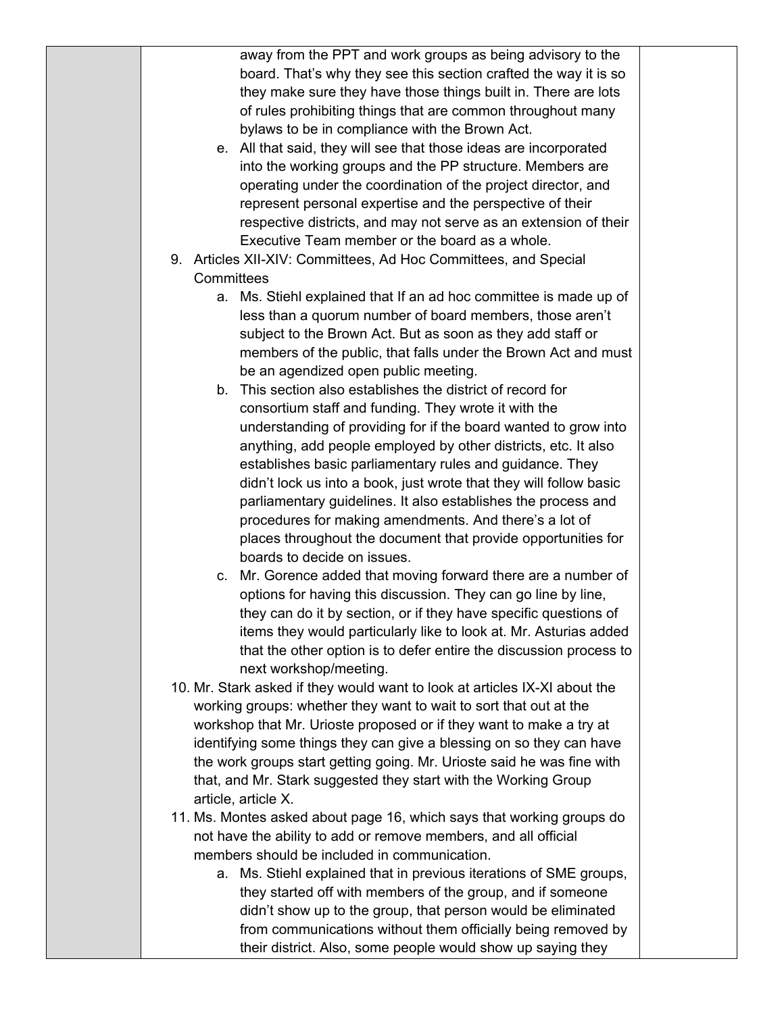| away from the PPT and work groups as being advisory to the                 |  |
|----------------------------------------------------------------------------|--|
| board. That's why they see this section crafted the way it is so           |  |
| they make sure they have those things built in. There are lots             |  |
| of rules prohibiting things that are common throughout many                |  |
| bylaws to be in compliance with the Brown Act.                             |  |
| e. All that said, they will see that those ideas are incorporated          |  |
| into the working groups and the PP structure. Members are                  |  |
| operating under the coordination of the project director, and              |  |
| represent personal expertise and the perspective of their                  |  |
| respective districts, and may not serve as an extension of their           |  |
| Executive Team member or the board as a whole.                             |  |
| 9. Articles XII-XIV: Committees, Ad Hoc Committees, and Special            |  |
| Committees                                                                 |  |
| a. Ms. Stiehl explained that If an ad hoc committee is made up of          |  |
| less than a quorum number of board members, those aren't                   |  |
| subject to the Brown Act. But as soon as they add staff or                 |  |
| members of the public, that falls under the Brown Act and must             |  |
| be an agendized open public meeting.                                       |  |
| b. This section also establishes the district of record for                |  |
| consortium staff and funding. They wrote it with the                       |  |
| understanding of providing for if the board wanted to grow into            |  |
| anything, add people employed by other districts, etc. It also             |  |
| establishes basic parliamentary rules and guidance. They                   |  |
| didn't lock us into a book, just wrote that they will follow basic         |  |
| parliamentary guidelines. It also establishes the process and              |  |
| procedures for making amendments. And there's a lot of                     |  |
| places throughout the document that provide opportunities for              |  |
| boards to decide on issues.                                                |  |
| c. Mr. Gorence added that moving forward there are a number of             |  |
| options for having this discussion. They can go line by line,              |  |
| they can do it by section, or if they have specific questions of           |  |
| items they would particularly like to look at. Mr. Asturias added          |  |
| that the other option is to defer entire the discussion process to         |  |
| next workshop/meeting.                                                     |  |
| 10. Mr. Stark asked if they would want to look at articles IX-XI about the |  |
| working groups: whether they want to wait to sort that out at the          |  |
| workshop that Mr. Urioste proposed or if they want to make a try at        |  |
| identifying some things they can give a blessing on so they can have       |  |
| the work groups start getting going. Mr. Urioste said he was fine with     |  |
| that, and Mr. Stark suggested they start with the Working Group            |  |
| article, article X.                                                        |  |
| 11. Ms. Montes asked about page 16, which says that working groups do      |  |
| not have the ability to add or remove members, and all official            |  |
| members should be included in communication.                               |  |
| a. Ms. Stiehl explained that in previous iterations of SME groups,         |  |
| they started off with members of the group, and if someone                 |  |
| didn't show up to the group, that person would be eliminated               |  |
| from communications without them officially being removed by               |  |

their district. Also, some people would show up saying they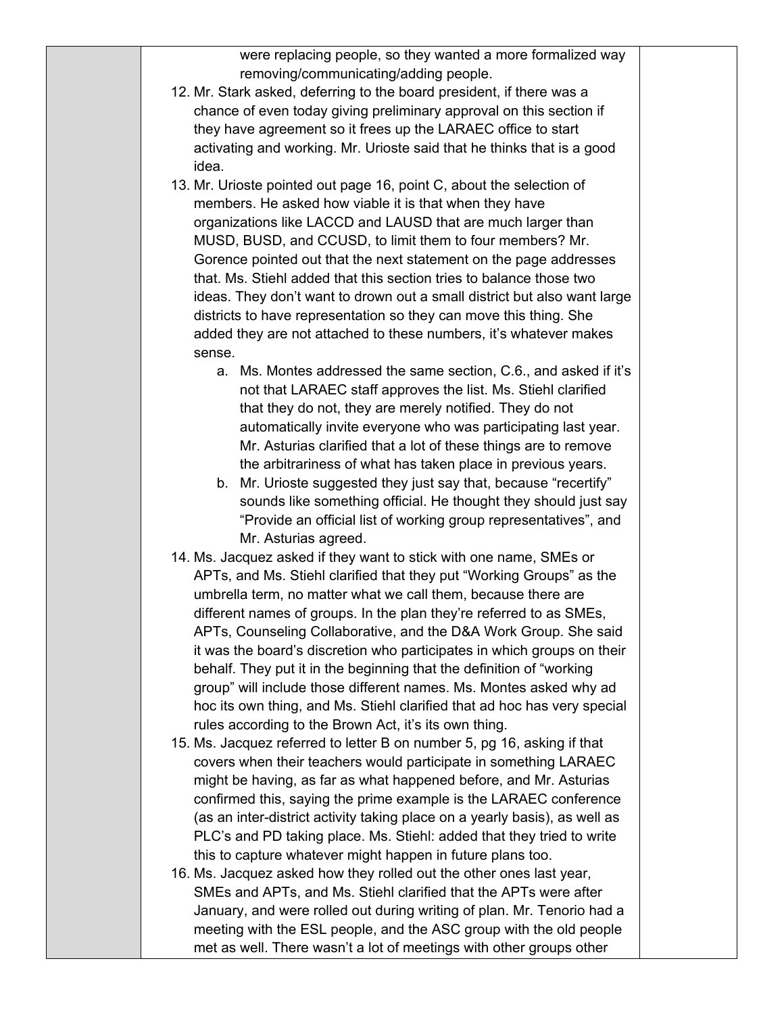were replacing people, so they wanted a more formalized way removing/communicating/adding people.

- 12. Mr. Stark asked, deferring to the board president, if there was a chance of even today giving preliminary approval on this section if they have agreement so it frees up the LARAEC office to start activating and working. Mr. Urioste said that he thinks that is a good idea.
- 13. Mr. Urioste pointed out page 16, point C, about the selection of members. He asked how viable it is that when they have organizations like LACCD and LAUSD that are much larger than MUSD, BUSD, and CCUSD, to limit them to four members? Mr. Gorence pointed out that the next statement on the page addresses that. Ms. Stiehl added that this section tries to balance those two ideas. They don't want to drown out a small district but also want large districts to have representation so they can move this thing. She added they are not attached to these numbers, it's whatever makes sense.
	- a. Ms. Montes addressed the same section, C.6., and asked if it's not that LARAEC staff approves the list. Ms. Stiehl clarified that they do not, they are merely notified. They do not automatically invite everyone who was participating last year. Mr. Asturias clarified that a lot of these things are to remove the arbitrariness of what has taken place in previous years.
	- b. Mr. Urioste suggested they just say that, because "recertify" sounds like something official. He thought they should just say "Provide an official list of working group representatives", and Mr. Asturias agreed.
- 14. Ms. Jacquez asked if they want to stick with one name, SMEs or APTs, and Ms. Stiehl clarified that they put "Working Groups" as the umbrella term, no matter what we call them, because there are different names of groups. In the plan they're referred to as SMEs, APTs, Counseling Collaborative, and the D&A Work Group. She said it was the board's discretion who participates in which groups on their behalf. They put it in the beginning that the definition of "working group" will include those different names. Ms. Montes asked why ad hoc its own thing, and Ms. Stiehl clarified that ad hoc has very special rules according to the Brown Act, it's its own thing.
- 15. Ms. Jacquez referred to letter B on number 5, pg 16, asking if that covers when their teachers would participate in something LARAEC might be having, as far as what happened before, and Mr. Asturias confirmed this, saying the prime example is the LARAEC conference (as an inter-district activity taking place on a yearly basis), as well as PLC's and PD taking place. Ms. Stiehl: added that they tried to write this to capture whatever might happen in future plans too.
- 16. Ms. Jacquez asked how they rolled out the other ones last year, SMEs and APTs, and Ms. Stiehl clarified that the APTs were after January, and were rolled out during writing of plan. Mr. Tenorio had a meeting with the ESL people, and the ASC group with the old people met as well. There wasn't a lot of meetings with other groups other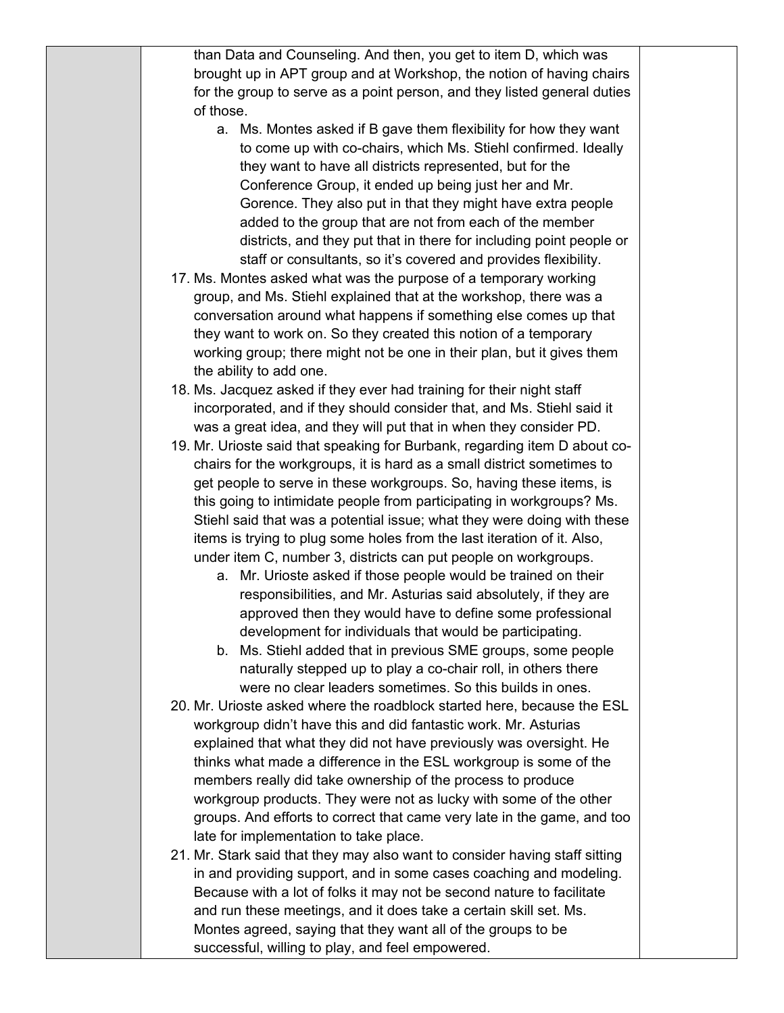than Data and Counseling. And then, you get to item D, which was brought up in APT group and at Workshop, the notion of having chairs for the group to serve as a point person, and they listed general duties of those. a. Ms. Montes asked if B gave them flexibility for how they want to come up with co-chairs, which Ms. Stiehl confirmed. Ideally they want to have all districts represented, but for the Conference Group, it ended up being just her and Mr. Gorence. They also put in that they might have extra people added to the group that are not from each of the member districts, and they put that in there for including point people or staff or consultants, so it's covered and provides flexibility. 17. Ms. Montes asked what was the purpose of a temporary working group, and Ms. Stiehl explained that at the workshop, there was a conversation around what happens if something else comes up that they want to work on. So they created this notion of a temporary working group; there might not be one in their plan, but it gives them the ability to add one. 18. Ms. Jacquez asked if they ever had training for their night staff incorporated, and if they should consider that, and Ms. Stiehl said it was a great idea, and they will put that in when they consider PD. 19. Mr. Urioste said that speaking for Burbank, regarding item D about cochairs for the workgroups, it is hard as a small district sometimes to get people to serve in these workgroups. So, having these items, is this going to intimidate people from participating in workgroups? Ms. Stiehl said that was a potential issue; what they were doing with these items is trying to plug some holes from the last iteration of it. Also, under item C, number 3, districts can put people on workgroups. a. Mr. Urioste asked if those people would be trained on their responsibilities, and Mr. Asturias said absolutely, if they are approved then they would have to define some professional development for individuals that would be participating.

- b. Ms. Stiehl added that in previous SME groups, some people naturally stepped up to play a co-chair roll, in others there were no clear leaders sometimes. So this builds in ones.
- 20. Mr. Urioste asked where the roadblock started here, because the ESL workgroup didn't have this and did fantastic work. Mr. Asturias explained that what they did not have previously was oversight. He thinks what made a difference in the ESL workgroup is some of the members really did take ownership of the process to produce workgroup products. They were not as lucky with some of the other groups. And efforts to correct that came very late in the game, and too late for implementation to take place.
- 21. Mr. Stark said that they may also want to consider having staff sitting in and providing support, and in some cases coaching and modeling. Because with a lot of folks it may not be second nature to facilitate and run these meetings, and it does take a certain skill set. Ms. Montes agreed, saying that they want all of the groups to be successful, willing to play, and feel empowered.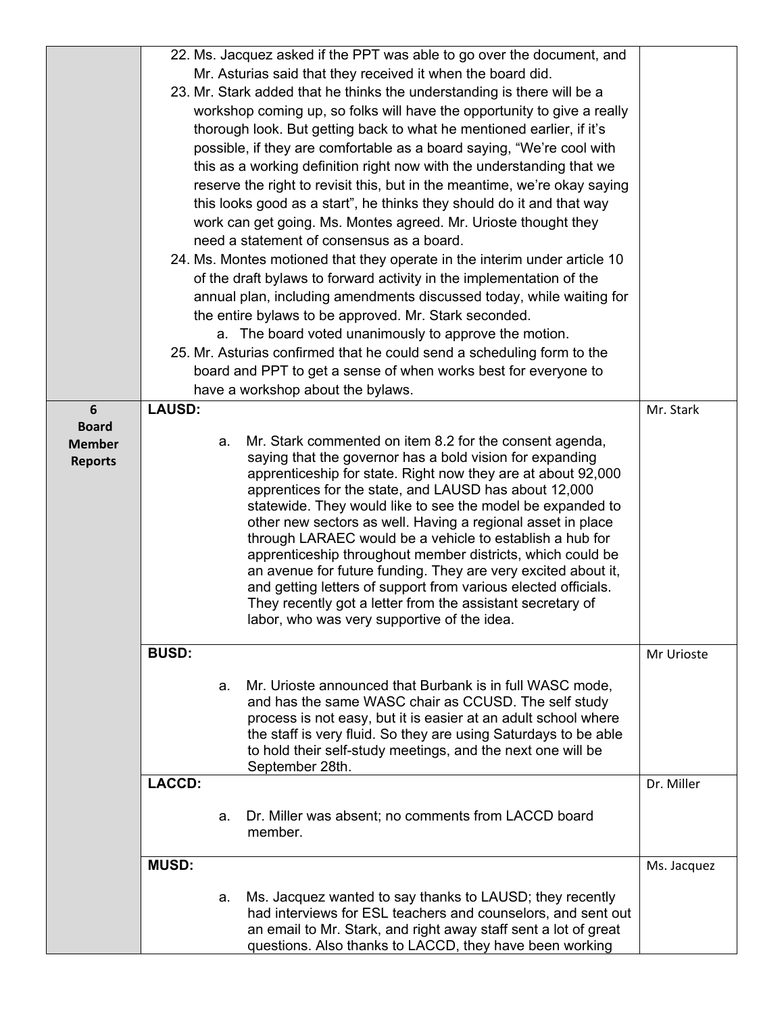|                |               | 22. Ms. Jacquez asked if the PPT was able to go over the document, and    |             |
|----------------|---------------|---------------------------------------------------------------------------|-------------|
|                |               | Mr. Asturias said that they received it when the board did.               |             |
|                |               | 23. Mr. Stark added that he thinks the understanding is there will be a   |             |
|                |               | workshop coming up, so folks will have the opportunity to give a really   |             |
|                |               | thorough look. But getting back to what he mentioned earlier, if it's     |             |
|                |               | possible, if they are comfortable as a board saying, "We're cool with     |             |
|                |               |                                                                           |             |
|                |               | this as a working definition right now with the understanding that we     |             |
|                |               | reserve the right to revisit this, but in the meantime, we're okay saying |             |
|                |               | this looks good as a start", he thinks they should do it and that way     |             |
|                |               | work can get going. Ms. Montes agreed. Mr. Urioste thought they           |             |
|                |               | need a statement of consensus as a board.                                 |             |
|                |               | 24. Ms. Montes motioned that they operate in the interim under article 10 |             |
|                |               | of the draft bylaws to forward activity in the implementation of the      |             |
|                |               | annual plan, including amendments discussed today, while waiting for      |             |
|                |               | the entire bylaws to be approved. Mr. Stark seconded.                     |             |
|                |               | a. The board voted unanimously to approve the motion.                     |             |
|                |               | 25. Mr. Asturias confirmed that he could send a scheduling form to the    |             |
|                |               | board and PPT to get a sense of when works best for everyone to           |             |
|                |               |                                                                           |             |
|                |               | have a workshop about the bylaws.                                         |             |
| $6\phantom{1}$ | <b>LAUSD:</b> |                                                                           | Mr. Stark   |
| <b>Board</b>   | а.            | Mr. Stark commented on item 8.2 for the consent agenda,                   |             |
| <b>Member</b>  |               | saying that the governor has a bold vision for expanding                  |             |
| <b>Reports</b> |               | apprenticeship for state. Right now they are at about 92,000              |             |
|                |               | apprentices for the state, and LAUSD has about 12,000                     |             |
|                |               | statewide. They would like to see the model be expanded to                |             |
|                |               | other new sectors as well. Having a regional asset in place               |             |
|                |               | through LARAEC would be a vehicle to establish a hub for                  |             |
|                |               | apprenticeship throughout member districts, which could be                |             |
|                |               | an avenue for future funding. They are very excited about it,             |             |
|                |               | and getting letters of support from various elected officials.            |             |
|                |               | They recently got a letter from the assistant secretary of                |             |
|                |               | labor, who was very supportive of the idea.                               |             |
|                | <b>BUSD:</b>  |                                                                           |             |
|                |               |                                                                           | Mr Urioste  |
|                | а.            | Mr. Urioste announced that Burbank is in full WASC mode,                  |             |
|                |               | and has the same WASC chair as CCUSD. The self study                      |             |
|                |               | process is not easy, but it is easier at an adult school where            |             |
|                |               | the staff is very fluid. So they are using Saturdays to be able           |             |
|                |               | to hold their self-study meetings, and the next one will be               |             |
|                |               | September 28th.                                                           |             |
|                | <b>LACCD:</b> |                                                                           | Dr. Miller  |
|                |               |                                                                           |             |
|                | a.            | Dr. Miller was absent; no comments from LACCD board                       |             |
|                |               | member.                                                                   |             |
|                |               |                                                                           |             |
|                | <b>MUSD:</b>  |                                                                           | Ms. Jacquez |
|                |               | Ms. Jacquez wanted to say thanks to LAUSD; they recently                  |             |
|                | а.            | had interviews for ESL teachers and counselors, and sent out              |             |
|                |               | an email to Mr. Stark, and right away staff sent a lot of great           |             |
|                |               | questions. Also thanks to LACCD, they have been working                   |             |
|                |               |                                                                           |             |